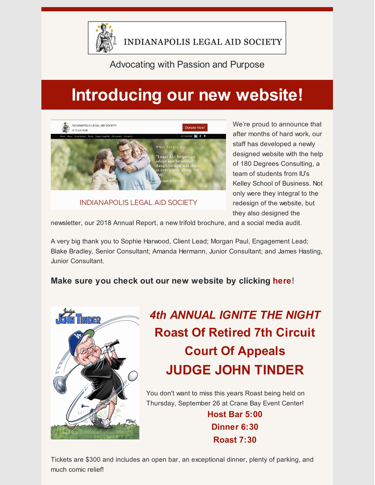

#### Advocating with Passion and Purpose

# **Introducing our new website!**



**INDIANAPOLIS LEGAL AID SOCIETY** 

We're proud to announce that after months of hard work, our staff has developed a newly designed website with the help of 180 Degrees Consulting, a team of students from IU's Kelley School of Business. Not only were they integral to the redesign of the website, but they also designed the

newsletter, our 2018 Annual Report, a new trifold brochure, and a social media audit.

A very big thank you to Sophie Harwood, Client Lead; Morgan Paul, Engagement Lead; Blake Bradley, Senior Consultant; Amanda Hermann, Junior Consultant; and James Hasting, Junior Consultant.

**Make sure you check out our new website by clicking [here](http://www.indylas.org/)!**



## *4th ANNUAL IGNITE THE NIGHT* **Roast Of Retired 7th Circuit Court Of Appeals JUDGE JOHN TINDER**

You don't want to miss this years Roast being held on Thursday, September 26 at Crane Bay Event Center!

> **Host Bar 5:00 Dinner 6:30 Roast 7:30**

Tickets are \$300 and includes an open bar, an exceptional dinner, plenty of parking, and much comic relief!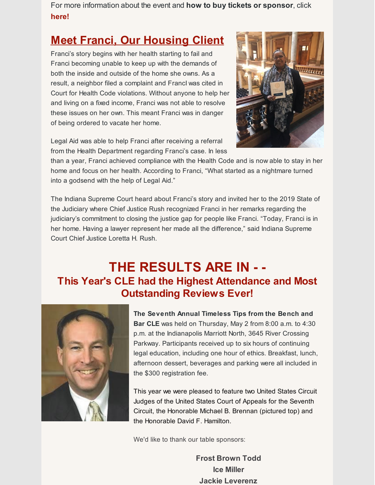For more information about the event and **how to buy tickets or sponsor**, click **[here](https://www.indylas.org/ignite)[!](https://em-ui.constantcontact.com/em-ui/em/page/em-ui/email#)**

### **Meet Franci, Our Housing Client**

Franci's story begins with her health starting to fail and Franci becoming unable to keep up with the demands of both the inside and outside of the home she owns. As a result, a neighbor filed a complaint and FrancI was cited in Court for Health Code violations. Without anyone to help her and living on a fixed income, Franci was not able to resolve these issues on her own. This meant Franci was in danger of being ordered to vacate her home.



Legal Aid was able to help Franci after receiving a referral from the Health Department regarding Franci's case. In less

than a year, Franci achieved compliance with the Health Code and is now able to stay in her home and focus on her health. According to Franci, "What started as a nightmare turned into a godsend with the help of Legal Aid."

The Indiana Supreme Court heard about Franci's story and invited her to the 2019 State of the Judiciary where Chief Justice Rush recognized Franci in her remarks regarding the judiciary's commitment to closing the justice gap for people like Franci. "Today, Franci is in her home. Having a lawyer represent her made all the difference," said Indiana Supreme Court Chief Justice Loretta H. Rush.

### **THE RESULTS ARE IN - - This Year's CLE had the Highest Attendance and Most Outstanding Reviews Ever!**



**The Seventh Annual Timeless Tips from the Bench and Bar CLE** was held on Thursday, May 2 from 8:00 a.m. to 4:30 p.m. at the Indianapolis Marriott North, 3645 River Crossing Parkway. Participants received up to six hours of continuing legal education, including one hour of ethics. Breakfast, lunch, afternoon dessert, beverages and parking were all included in the \$300 registration fee.

This year we were pleased to feature two United States Circuit Judges of the United States Court of Appeals for the Seventh Circuit, the Honorable Michael B. Brennan (pictured top) and the Honorable David F. Hamilton.

We'd like to thank our table sponsors:

**Frost Brown Todd Ice Miller Jackie Leverenz**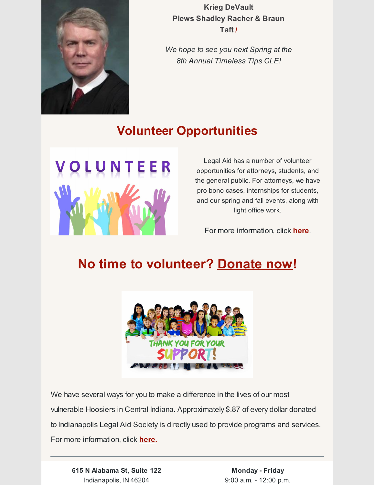

**Krieg DeVault Plews Shadley Racher & Braun Taft /**

*We hope to see you next Spring at the 8th Annual Timeless Tips CLE!*

#### **Volunteer Opportunities**



Legal Aid has a number of volunteer opportunities for attorneys, students, and the general public. For attorneys, we have pro bono cases, internships for students, and our spring and fall events, along with light office work.

For more information, click **[here](https://www.indylas.org/volunteering)**[.](https://www.indylas.org/volunteering)

### **No time to volunteer? [Donate](https://interland3.donorperfect.net/weblink/weblink.aspx?name=E5192&id=1) now!**



We have several ways for you to make a difference in the lives of our most vulnerable Hoosiers in Central Indiana. Approximately \$.87 of every dollar donated to Indianapolis Legal Aid Society is directly used to provide programs and services. For more information, click **[here](https://www.indylas.org/support-legal-aid).**

**615 N Alabama St, Suite 122** Indianapolis, IN 46204

**Monday - Friday** 9:00 a.m. - 12:00 p.m.